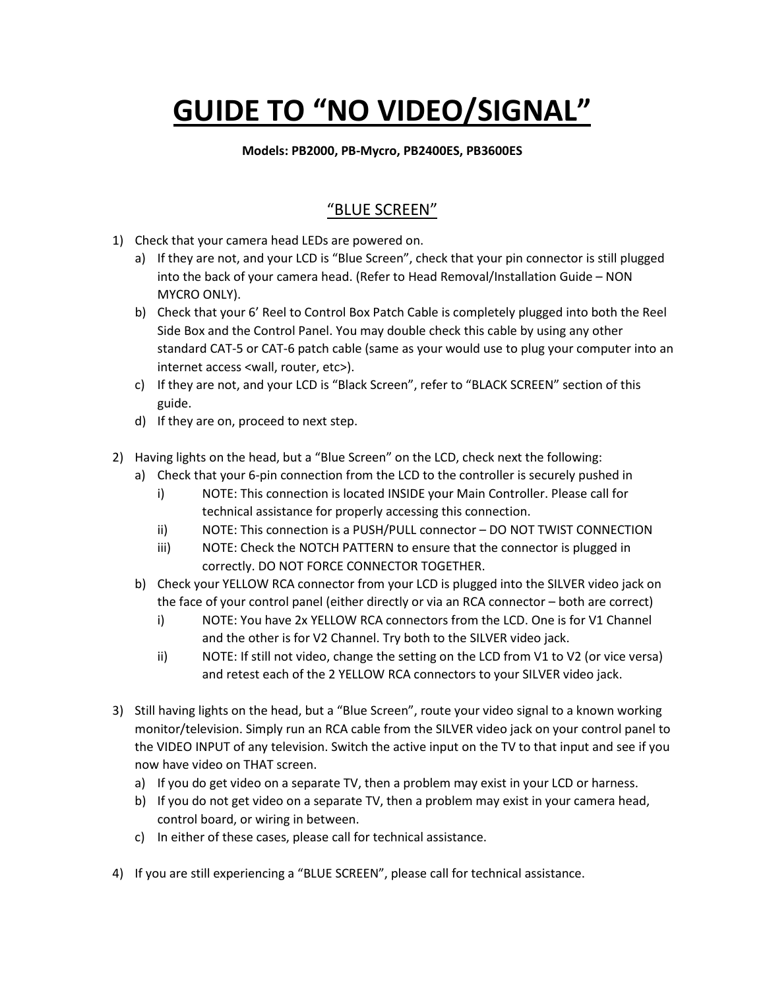## **GUIDE TO "NO VIDEO/SIGNAL"**

## **Models: PB2000, PB-Mycro, PB2400ES, PB3600ES**

## "BLUE SCREEN"

- 1) Check that your camera head LEDs are powered on.
	- a) If they are not, and your LCD is "Blue Screen", check that your pin connector is still plugged into the back of your camera head. (Refer to Head Removal/Installation Guide – NON MYCRO ONLY).
	- b) Check that your 6' Reel to Control Box Patch Cable is completely plugged into both the Reel Side Box and the Control Panel. You may double check this cable by using any other standard CAT-5 or CAT-6 patch cable (same as your would use to plug your computer into an internet access <wall, router, etc>).
	- c) If they are not, and your LCD is "Black Screen", refer to "BLACK SCREEN" section of this guide.
	- d) If they are on, proceed to next step.
- 2) Having lights on the head, but a "Blue Screen" on the LCD, check next the following:
	- a) Check that your 6-pin connection from the LCD to the controller is securely pushed in
		- i) NOTE: This connection is located INSIDE your Main Controller. Please call for technical assistance for properly accessing this connection.
		- ii) NOTE: This connection is a PUSH/PULL connector DO NOT TWIST CONNECTION
		- iii) NOTE: Check the NOTCH PATTERN to ensure that the connector is plugged in correctly. DO NOT FORCE CONNECTOR TOGETHER.
	- b) Check your YELLOW RCA connector from your LCD is plugged into the SILVER video jack on the face of your control panel (either directly or via an RCA connector – both are correct)
		- i) NOTE: You have 2x YELLOW RCA connectors from the LCD. One is for V1 Channel and the other is for V2 Channel. Try both to the SILVER video jack.
		- ii) NOTE: If still not video, change the setting on the LCD from V1 to V2 (or vice versa) and retest each of the 2 YELLOW RCA connectors to your SILVER video jack.
- 3) Still having lights on the head, but a "Blue Screen", route your video signal to a known working monitor/television. Simply run an RCA cable from the SILVER video jack on your control panel to the VIDEO INPUT of any television. Switch the active input on the TV to that input and see if you now have video on THAT screen.
	- a) If you do get video on a separate TV, then a problem may exist in your LCD or harness.
	- b) If you do not get video on a separate TV, then a problem may exist in your camera head, control board, or wiring in between.
	- c) In either of these cases, please call for technical assistance.
- 4) If you are still experiencing a "BLUE SCREEN", please call for technical assistance.